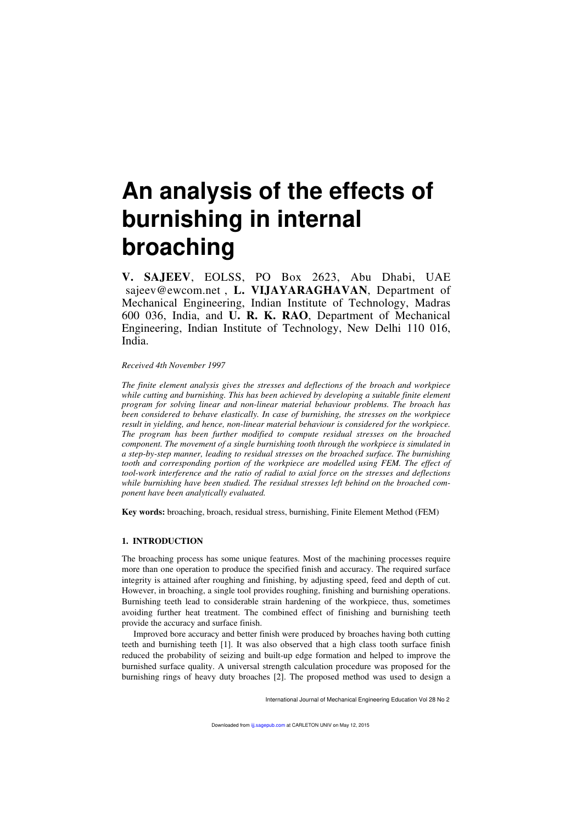# **An analysis of the effects of burnishing in internal broaching**

**V. SAJEEV**, EOLSS, PO Box 2623, Abu Dhabi, UAE 〈sajeev@ewcom.net〉, **L. VIJAYARAGHAVAN**, Department of Mechanical Engineering, Indian Institute of Technology, Madras 600 036, India, and **U. R. K. RAO**, Department of Mechanical Engineering, Indian Institute of Technology, New Delhi 110 016, India.

*Received 4th November 1997*

*The finite element analysis gives the stresses and deflections of the broach and workpiece while cutting and burnishing. This has been achieved by developing a suitable finite element program for solving linear and non-linear material behaviour problems. The broach has been considered to behave elastically. In case of burnishing, the stresses on the workpiece result in yielding, and hence, non-linear material behaviour is considered for the workpiece. The program has been further modified to compute residual stresses on the broached component. The movement of a single burnishing tooth through the workpiece is simulated in a step-by-step manner, leading to residual stresses on the broached surface. The burnishing tooth and corresponding portion of the workpiece are modelled using FEM. The effect of tool-work interference and the ratio of radial to axial force on the stresses and deflections while burnishing have been studied. The residual stresses left behind on the broached component have been analytically evaluated.*

**Key words:** broaching, broach, residual stress, burnishing, Finite Element Method (FEM)

## **1. INTRODUCTION**

The broaching process has some unique features. Most of the machining processes require more than one operation to produce the specified finish and accuracy. The required surface integrity is attained after roughing and finishing, by adjusting speed, feed and depth of cut. However, in broaching, a single tool provides roughing, finishing and burnishing operations. Burnishing teeth lead to considerable strain hardening of the workpiece, thus, sometimes avoiding further heat treatment. The combined effect of finishing and burnishing teeth provide the accuracy and surface finish.

Improved bore accuracy and better finish were produced by broaches having both cutting teeth and burnishing teeth [1]. It was also observed that a high class tooth surface finish reduced the probability of seizing and built-up edge formation and helped to improve the burnished surface quality. A universal strength calculation procedure was proposed for the burnishing rings of heavy duty broaches [2]. The proposed method was used to design a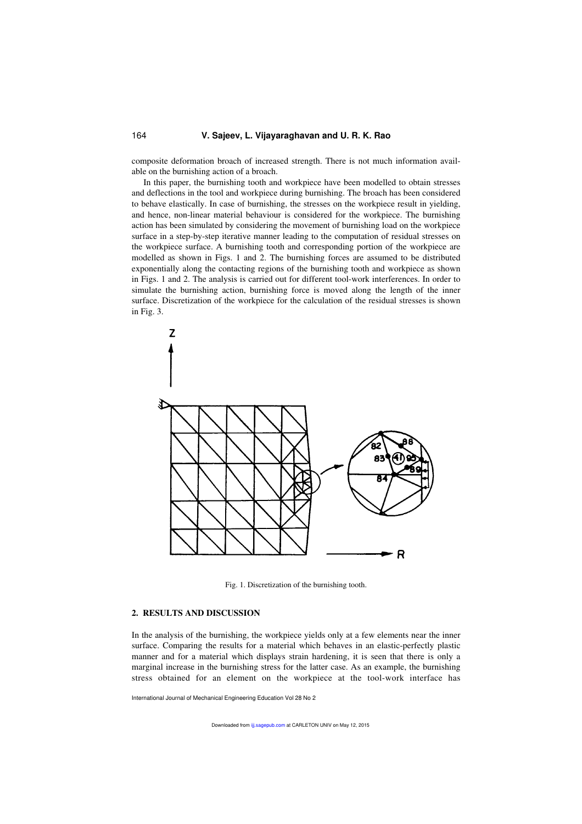composite deformation broach of increased strength. There is not much information available on the burnishing action of a broach.

In this paper, the burnishing tooth and workpiece have been modelled to obtain stresses and deflections in the tool and workpiece during burnishing. The broach has been considered to behave elastically. In case of burnishing, the stresses on the workpiece result in yielding, and hence, non-linear material behaviour is considered for the workpiece. The burnishing action has been simulated by considering the movement of burnishing load on the workpiece surface in a step-by-step iterative manner leading to the computation of residual stresses on the workpiece surface. A burnishing tooth and corresponding portion of the workpiece are modelled as shown in Figs. 1 and 2. The burnishing forces are assumed to be distributed exponentially along the contacting regions of the burnishing tooth and workpiece as shown in Figs. 1 and 2. The analysis is carried out for different tool-work interferences. In order to simulate the burnishing action, burnishing force is moved along the length of the inner surface. Discretization of the workpiece for the calculation of the residual stresses is shown in Fig. 3.



Fig. 1. Discretization of the burnishing tooth.

#### **2. RESULTS AND DISCUSSION**

In the analysis of the burnishing, the workpiece yields only at a few elements near the inner surface. Comparing the results for a material which behaves in an elastic-perfectly plastic manner and for a material which displays strain hardening, it is seen that there is only a marginal increase in the burnishing stress for the latter case. As an example, the burnishing stress obtained for an element on the workpiece at the tool-work interface has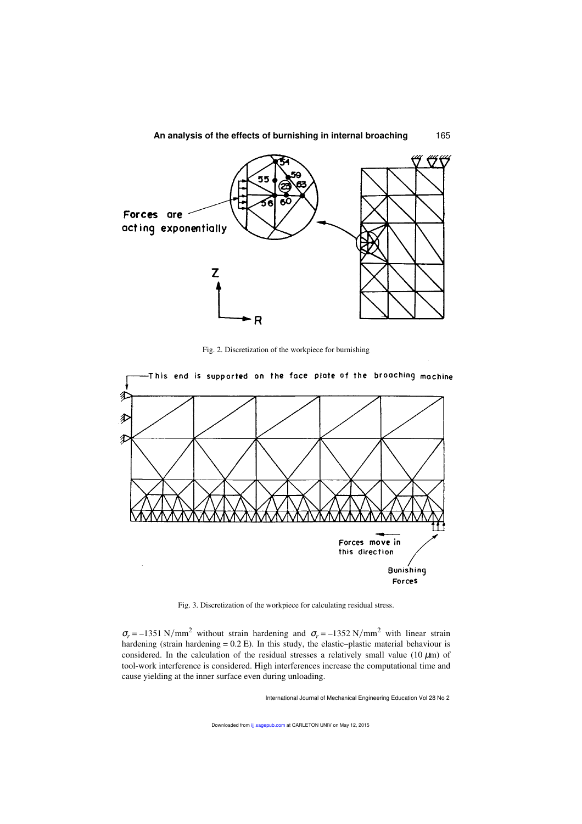

Fig. 2. Discretization of the workpiece for burnishing



Fig. 3. Discretization of the workpiece for calculating residual stress.

 $\sigma_r = -1351 \text{ N/mm}^2$  without strain hardening and  $\sigma_r = -1352 \text{ N/mm}^2$  with linear strain hardening (strain hardening = 0.2 E). In this study, the elastic–plastic material behaviour is considered. In the calculation of the residual stresses a relatively small value (10  $\mu$ m) of tool-work interference is considered. High interferences increase the computational time and cause yielding at the inner surface even during unloading.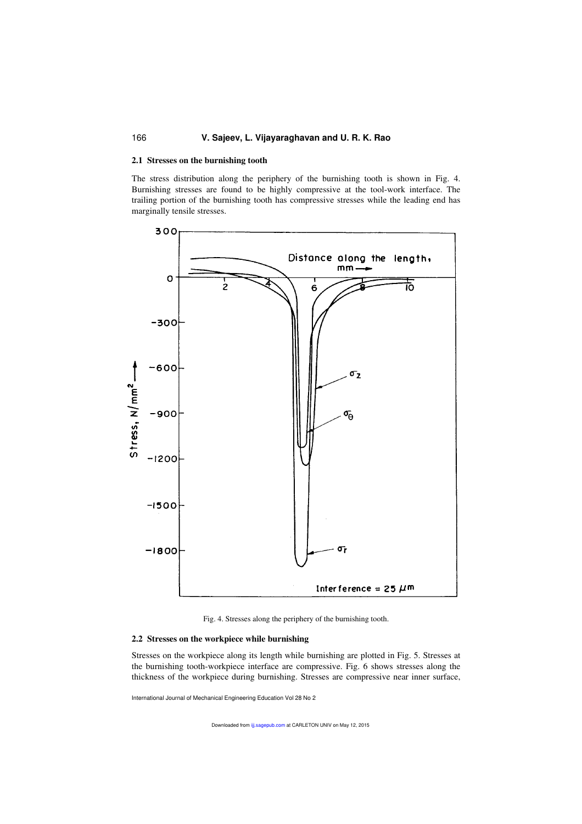## 166 **V. Sajeev, L. Vijayaraghavan and U. R. K. Rao**

## **2.1 Stresses on the burnishing tooth**

The stress distribution along the periphery of the burnishing tooth is shown in Fig. 4. Burnishing stresses are found to be highly compressive at the tool-work interface. The trailing portion of the burnishing tooth has compressive stresses while the leading end has marginally tensile stresses.



Fig. 4. Stresses along the periphery of the burnishing tooth.

## **2.2 Stresses on the workpiece while burnishing**

Stresses on the workpiece along its length while burnishing are plotted in Fig. 5. Stresses at the burnishing tooth-workpiece interface are compressive. Fig. 6 shows stresses along the thickness of the workpiece during burnishing. Stresses are compressive near inner surface,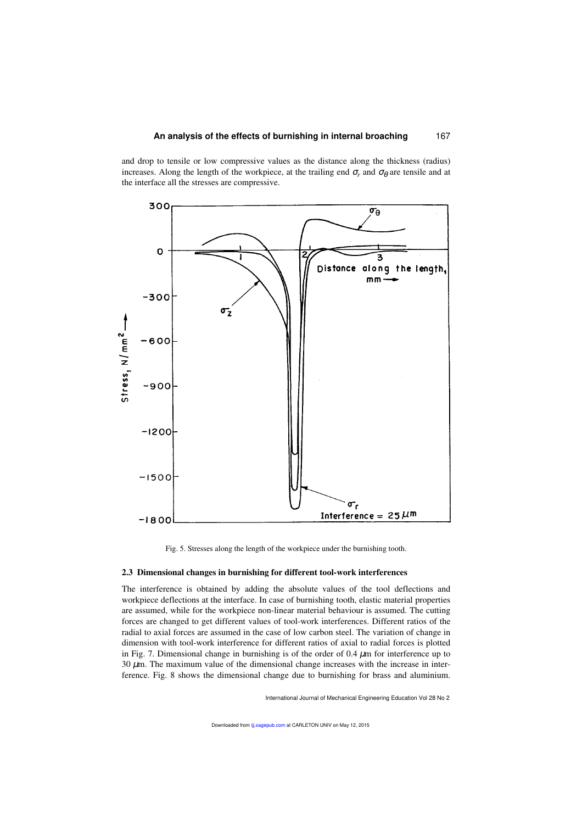and drop to tensile or low compressive values as the distance along the thickness (radius) increases. Along the length of the workpiece, at the trailing end  $\sigma_r$  and  $\sigma_\theta$  are tensile and at the interface all the stresses are compressive.





#### **2.3 Dimensional changes in burnishing for different tool-work interferences**

The interference is obtained by adding the absolute values of the tool deflections and workpiece deflections at the interface. In case of burnishing tooth, elastic material properties are assumed, while for the workpiece non-linear material behaviour is assumed. The cutting forces are changed to get different values of tool-work interferences. Different ratios of the radial to axial forces are assumed in the case of low carbon steel. The variation of change in dimension with tool-work interference for different ratios of axial to radial forces is plotted in Fig. 7. Dimensional change in burnishing is of the order of  $0.4 \mu m$  for interference up to  $30 \mu$ m. The maximum value of the dimensional change increases with the increase in interference. Fig. 8 shows the dimensional change due to burnishing for brass and aluminium.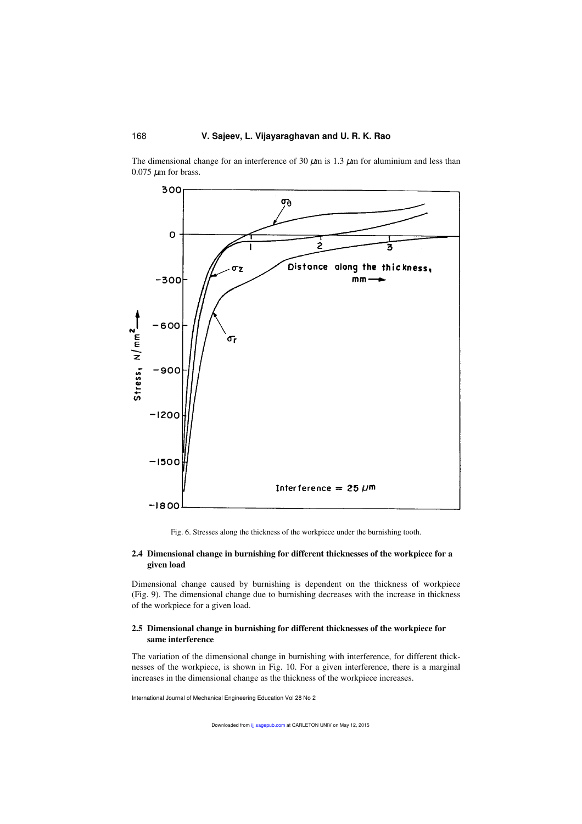The dimensional change for an interference of 30  $\mu$ m is 1.3  $\mu$ m for aluminium and less than  $0.075 \mu m$  for brass.



Fig. 6. Stresses along the thickness of the workpiece under the burnishing tooth.

# **2.4 Dimensional change in burnishing for different thicknesses of the workpiece for a given load**

Dimensional change caused by burnishing is dependent on the thickness of workpiece (Fig. 9). The dimensional change due to burnishing decreases with the increase in thickness of the workpiece for a given load.

## **2.5 Dimensional change in burnishing for different thicknesses of the workpiece for same interference**

The variation of the dimensional change in burnishing with interference, for different thicknesses of the workpiece, is shown in Fig. 10. For a given interference, there is a marginal increases in the dimensional change as the thickness of the workpiece increases.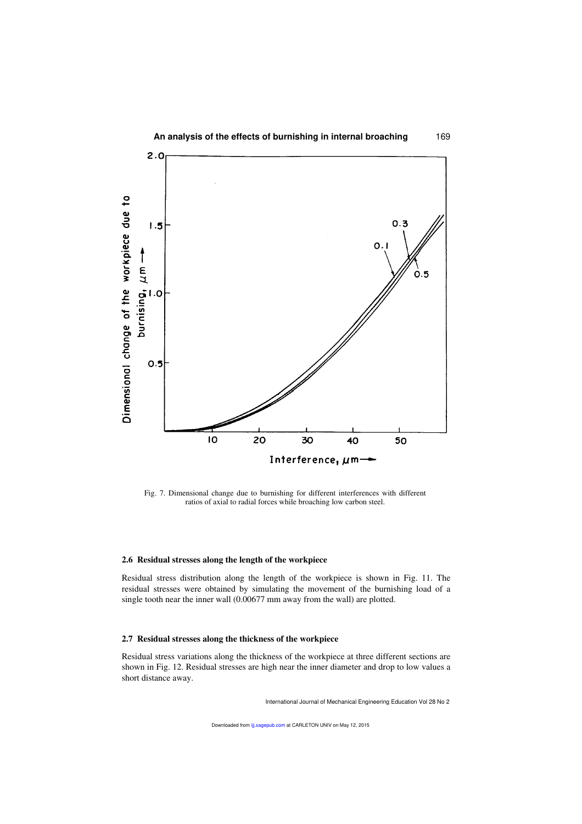

Fig. 7. Dimensional change due to burnishing for different interferences with different ratios of axial to radial forces while broaching low carbon steel.

#### **2.6 Residual stresses along the length of the workpiece**

Residual stress distribution along the length of the workpiece is shown in Fig. 11. The residual stresses were obtained by simulating the movement of the burnishing load of a single tooth near the inner wall (0.00677 mm away from the wall) are plotted.

#### **2.7 Residual stresses along the thickness of the workpiece**

Residual stress variations along the thickness of the workpiece at three different sections are shown in Fig. 12. Residual stresses are high near the inner diameter and drop to low values a short distance away.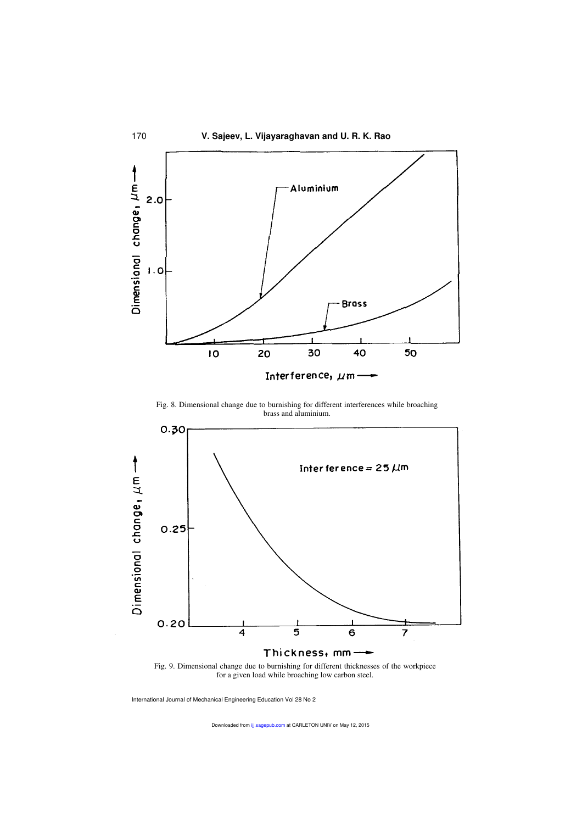

Fig. 8. Dimensional change due to burnishing for different interferences while broaching brass and aluminium.



Fig. 9. Dimensional change due to burnishing for different thicknesses of the workpiece for a given load while broaching low carbon steel.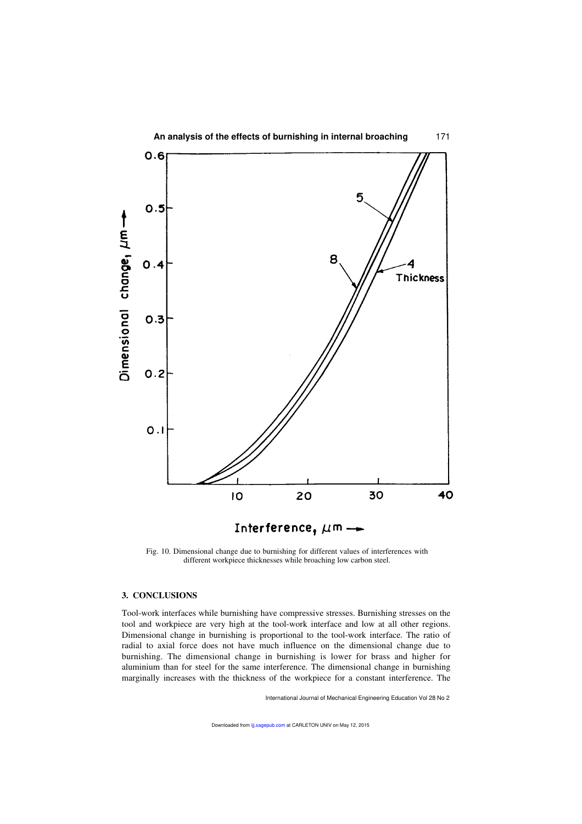

Interference,  $\mu$ m —

20

Fig. 10. Dimensional change due to burnishing for different values of interferences with different workpiece thicknesses while broaching low carbon steel.

IO

## **3. CONCLUSIONS**

Tool-work interfaces while burnishing have compressive stresses. Burnishing stresses on the tool and workpiece are very high at the tool-work interface and low at all other regions. Dimensional change in burnishing is proportional to the tool-work interface. The ratio of radial to axial force does not have much influence on the dimensional change due to burnishing. The dimensional change in burnishing is lower for brass and higher for aluminium than for steel for the same interference. The dimensional change in burnishing marginally increases with the thickness of the workpiece for a constant interference. The

International Journal of Mechanical Engineering Education Vol 28 No 2

30

40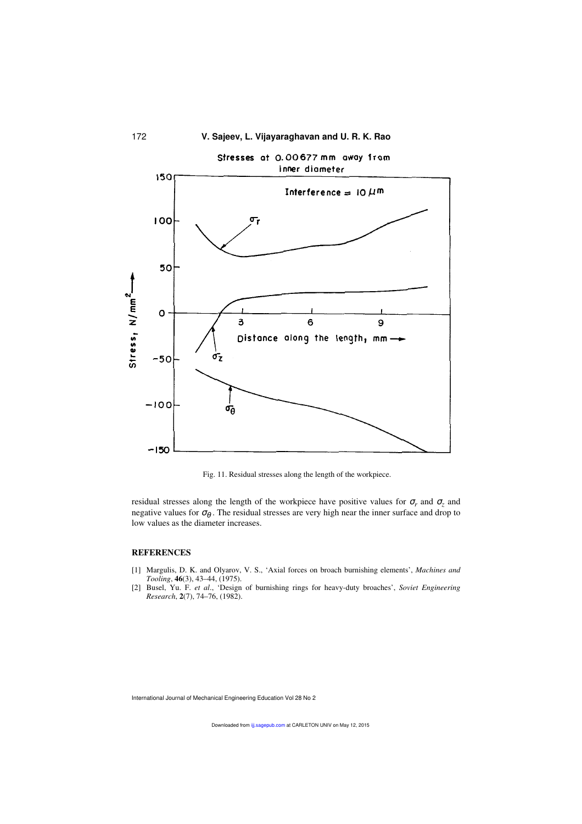

Fig. 11. Residual stresses along the length of the workpiece.

residual stresses along the length of the workpiece have positive values for  $\sigma_r$  and  $\sigma_z$  and negative values for  $\sigma_{\theta}$ . The residual stresses are very high near the inner surface and drop to low values as the diameter increases.

#### **REFERENCES**

- [1] Margulis, D. K. and Olyarov, V. S., 'Axial forces on broach burnishing elements', *Machines and Tooling*, **46**(3), 43–44, (1975).
- [2] Busel, Yu. F. *et al*., 'Design of burnishing rings for heavy-duty broaches', *Soviet Engineering Research*, **2**(7), 74–76, (1982).